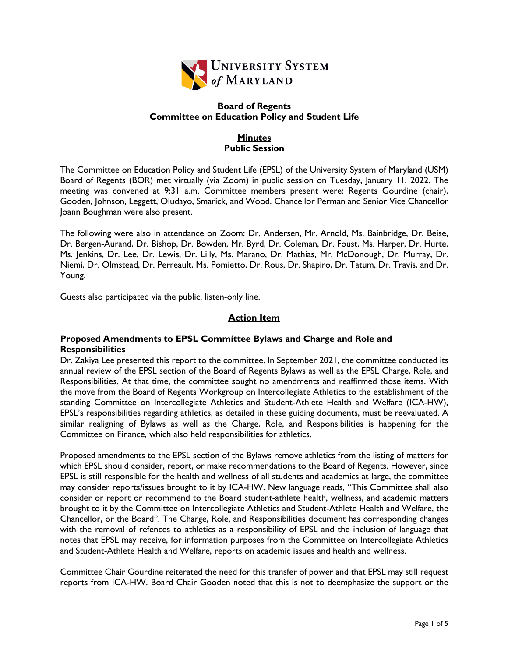

### **Board of Regents Committee on Education Policy and Student Life**

## **Minutes Public Session**

The Committee on Education Policy and Student Life (EPSL) of the University System of Maryland (USM) Board of Regents (BOR) met virtually (via Zoom) in public session on Tuesday, January 11, 2022. The meeting was convened at 9:31 a.m. Committee members present were: Regents Gourdine (chair), Gooden, Johnson, Leggett, Oludayo, Smarick, and Wood. Chancellor Perman and Senior Vice Chancellor Joann Boughman were also present.

The following were also in attendance on Zoom: Dr. Andersen, Mr. Arnold, Ms. Bainbridge, Dr. Beise, Dr. Bergen-Aurand, Dr. Bishop, Dr. Bowden, Mr. Byrd, Dr. Coleman, Dr. Foust, Ms. Harper, Dr. Hurte, Ms. Jenkins, Dr. Lee, Dr. Lewis, Dr. Lilly, Ms. Marano, Dr. Mathias, Mr. McDonough, Dr. Murray, Dr. Niemi, Dr. Olmstead, Dr. Perreault, Ms. Pomietto, Dr. Rous, Dr. Shapiro, Dr. Tatum, Dr. Travis, and Dr. Young.

Guests also participated via the public, listen-only line.

# **Action Item**

## **Proposed Amendments to EPSL Committee Bylaws and Charge and Role and Responsibilities**

Dr. Zakiya Lee presented this report to the committee. In September 2021, the committee conducted its annual review of the EPSL section of the Board of Regents Bylaws as well as the EPSL Charge, Role, and Responsibilities. At that time, the committee sought no amendments and reaffirmed those items. With the move from the Board of Regents Workgroup on Intercollegiate Athletics to the establishment of the standing Committee on Intercollegiate Athletics and Student-Athlete Health and Welfare (ICA-HW), EPSL's responsibilities regarding athletics, as detailed in these guiding documents, must be reevaluated. A similar realigning of Bylaws as well as the Charge, Role, and Responsibilities is happening for the Committee on Finance, which also held responsibilities for athletics.

Proposed amendments to the EPSL section of the Bylaws remove athletics from the listing of matters for which EPSL should consider, report, or make recommendations to the Board of Regents. However, since EPSL is still responsible for the health and wellness of all students and academics at large, the committee may consider reports/issues brought to it by ICA-HW. New language reads, "This Committee shall also consider or report or recommend to the Board student-athlete health, wellness, and academic matters brought to it by the Committee on Intercollegiate Athletics and Student-Athlete Health and Welfare, the Chancellor, or the Board". The Charge, Role, and Responsibilities document has corresponding changes with the removal of refences to athletics as a responsibility of EPSL and the inclusion of language that notes that EPSL may receive, for information purposes from the Committee on Intercollegiate Athletics and Student-Athlete Health and Welfare, reports on academic issues and health and wellness.

Committee Chair Gourdine reiterated the need for this transfer of power and that EPSL may still request reports from ICA-HW. Board Chair Gooden noted that this is not to deemphasize the support or the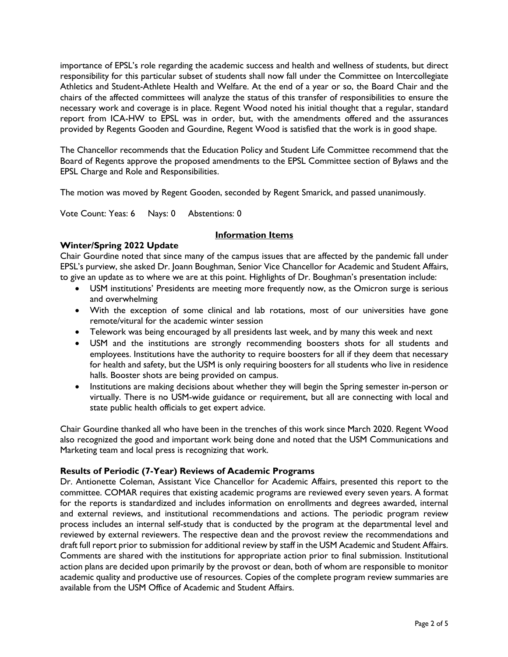importance of EPSL's role regarding the academic success and health and wellness of students, but direct responsibility for this particular subset of students shall now fall under the Committee on Intercollegiate Athletics and Student-Athlete Health and Welfare. At the end of a year or so, the Board Chair and the chairs of the affected committees will analyze the status of this transfer of responsibilities to ensure the necessary work and coverage is in place. Regent Wood noted his initial thought that a regular, standard report from ICA-HW to EPSL was in order, but, with the amendments offered and the assurances provided by Regents Gooden and Gourdine, Regent Wood is satisfied that the work is in good shape.

The Chancellor recommends that the Education Policy and Student Life Committee recommend that the Board of Regents approve the proposed amendments to the EPSL Committee section of Bylaws and the EPSL Charge and Role and Responsibilities.

The motion was moved by Regent Gooden, seconded by Regent Smarick, and passed unanimously.

Vote Count: Yeas: 6 Nays: 0 Abstentions: 0

#### **Information Items**

## **Winter/Spring 2022 Update**

Chair Gourdine noted that since many of the campus issues that are affected by the pandemic fall under EPSL's purview, she asked Dr. Joann Boughman, Senior Vice Chancellor for Academic and Student Affairs, to give an update as to where we are at this point. Highlights of Dr. Boughman's presentation include:

- USM institutions' Presidents are meeting more frequently now, as the Omicron surge is serious and overwhelming
- With the exception of some clinical and lab rotations, most of our universities have gone remote/vitural for the academic winter session
- Telework was being encouraged by all presidents last week, and by many this week and next
- USM and the institutions are strongly recommending boosters shots for all students and employees. Institutions have the authority to require boosters for all if they deem that necessary for health and safety, but the USM is only requiring boosters for all students who live in residence halls. Booster shots are being provided on campus.
- Institutions are making decisions about whether they will begin the Spring semester in-person or virtually. There is no USM-wide guidance or requirement, but all are connecting with local and state public health officials to get expert advice.

Chair Gourdine thanked all who have been in the trenches of this work since March 2020. Regent Wood also recognized the good and important work being done and noted that the USM Communications and Marketing team and local press is recognizing that work.

#### **Results of Periodic (7-Year) Reviews of Academic Programs**

Dr. Antionette Coleman, Assistant Vice Chancellor for Academic Affairs, presented this report to the committee. COMAR requires that existing academic programs are reviewed every seven years. A format for the reports is standardized and includes information on enrollments and degrees awarded, internal and external reviews, and institutional recommendations and actions. The periodic program review process includes an internal self-study that is conducted by the program at the departmental level and reviewed by external reviewers. The respective dean and the provost review the recommendations and draft full report prior to submission for additional review by staff in the USM Academic and Student Affairs. Comments are shared with the institutions for appropriate action prior to final submission. Institutional action plans are decided upon primarily by the provost or dean, both of whom are responsible to monitor academic quality and productive use of resources. Copies of the complete program review summaries are available from the USM Office of Academic and Student Affairs.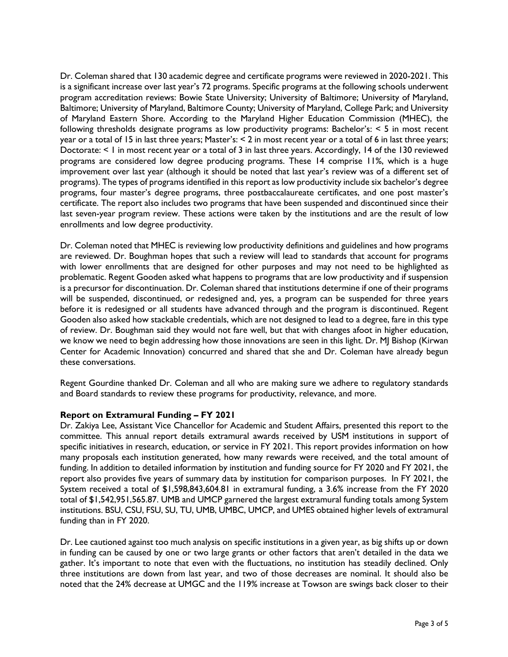Dr. Coleman shared that 130 academic degree and certificate programs were reviewed in 2020-2021. This is a significant increase over last year's 72 programs. Specific programs at the following schools underwent program accreditation reviews: Bowie State University; University of Baltimore; University of Maryland, Baltimore; University of Maryland, Baltimore County; University of Maryland, College Park; and University of Maryland Eastern Shore. According to the Maryland Higher Education Commission (MHEC), the following thresholds designate programs as low productivity programs: Bachelor's: < 5 in most recent year or a total of 15 in last three years; Master's: < 2 in most recent year or a total of 6 in last three years; Doctorate: < 1 in most recent year or a total of 3 in last three years. Accordingly, 14 of the 130 reviewed programs are considered low degree producing programs. These 14 comprise 11%, which is a huge improvement over last year (although it should be noted that last year's review was of a different set of programs). The types of programs identified in this report as low productivity include six bachelor's degree programs, four master's degree programs, three postbaccalaureate certificates, and one post master's certificate. The report also includes two programs that have been suspended and discontinued since their last seven-year program review. These actions were taken by the institutions and are the result of low enrollments and low degree productivity.

Dr. Coleman noted that MHEC is reviewing low productivity definitions and guidelines and how programs are reviewed. Dr. Boughman hopes that such a review will lead to standards that account for programs with lower enrollments that are designed for other purposes and may not need to be highlighted as problematic. Regent Gooden asked what happens to programs that are low productivity and if suspension is a precursor for discontinuation. Dr. Coleman shared that institutions determine if one of their programs will be suspended, discontinued, or redesigned and, yes, a program can be suspended for three years before it is redesigned or all students have advanced through and the program is discontinued. Regent Gooden also asked how stackable credentials, which are not designed to lead to a degree, fare in this type of review. Dr. Boughman said they would not fare well, but that with changes afoot in higher education, we know we need to begin addressing how those innovations are seen in this light. Dr. MJ Bishop (Kirwan Center for Academic Innovation) concurred and shared that she and Dr. Coleman have already begun these conversations.

Regent Gourdine thanked Dr. Coleman and all who are making sure we adhere to regulatory standards and Board standards to review these programs for productivity, relevance, and more.

#### **Report on Extramural Funding – FY 2021**

Dr. Zakiya Lee, Assistant Vice Chancellor for Academic and Student Affairs, presented this report to the committee. This annual report details extramural awards received by USM institutions in support of specific initiatives in research, education, or service in FY 2021. This report provides information on how many proposals each institution generated, how many rewards were received, and the total amount of funding. In addition to detailed information by institution and funding source for FY 2020 and FY 2021, the report also provides five years of summary data by institution for comparison purposes. In FY 2021, the System received a total of \$1,598,843,604.81 in extramural funding, a 3.6% increase from the FY 2020 total of \$1,542,951,565.87. UMB and UMCP garnered the largest extramural funding totals among System institutions. BSU, CSU, FSU, SU, TU, UMB, UMBC, UMCP, and UMES obtained higher levels of extramural funding than in FY 2020.

Dr. Lee cautioned against too much analysis on specific institutions in a given year, as big shifts up or down in funding can be caused by one or two large grants or other factors that aren't detailed in the data we gather. It's important to note that even with the fluctuations, no institution has steadily declined. Only three institutions are down from last year, and two of those decreases are nominal. It should also be noted that the 24% decrease at UMGC and the 119% increase at Towson are swings back closer to their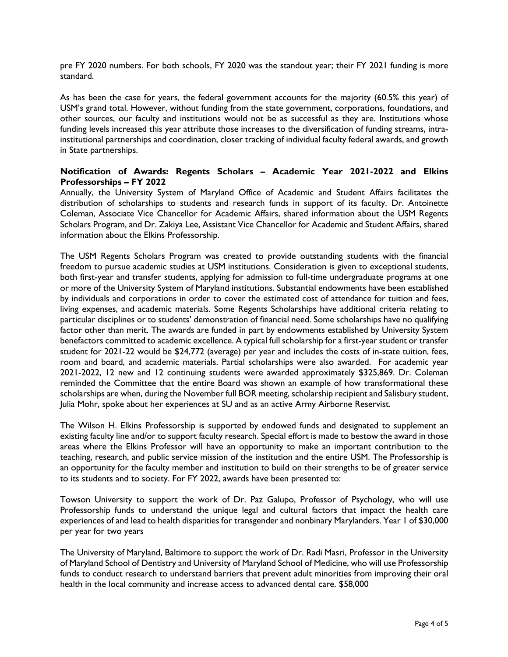pre FY 2020 numbers. For both schools, FY 2020 was the standout year; their FY 2021 funding is more standard.

As has been the case for years, the federal government accounts for the majority (60.5% this year) of USM's grand total. However, without funding from the state government, corporations, foundations, and other sources, our faculty and institutions would not be as successful as they are. Institutions whose funding levels increased this year attribute those increases to the diversification of funding streams, intrainstitutional partnerships and coordination, closer tracking of individual faculty federal awards, and growth in State partnerships.

### **Notification of Awards: Regents Scholars – Academic Year 2021-2022 and Elkins Professorships – FY 2022**

Annually, the University System of Maryland Office of Academic and Student Affairs facilitates the distribution of scholarships to students and research funds in support of its faculty. Dr. Antoinette Coleman, Associate Vice Chancellor for Academic Affairs, shared information about the USM Regents Scholars Program, and Dr. Zakiya Lee, Assistant Vice Chancellor for Academic and Student Affairs, shared information about the Elkins Professorship.

The USM Regents Scholars Program was created to provide outstanding students with the financial freedom to pursue academic studies at USM institutions. Consideration is given to exceptional students, both first-year and transfer students, applying for admission to full-time undergraduate programs at one or more of the University System of Maryland institutions. Substantial endowments have been established by individuals and corporations in order to cover the estimated cost of attendance for tuition and fees, living expenses, and academic materials. Some Regents Scholarships have additional criteria relating to particular disciplines or to students' demonstration of financial need. Some scholarships have no qualifying factor other than merit. The awards are funded in part by endowments established by University System benefactors committed to academic excellence. A typical full scholarship for a first-year student or transfer student for 2021-22 would be \$24,772 (average) per year and includes the costs of in-state tuition, fees, room and board, and academic materials. Partial scholarships were also awarded. For academic year 2021-2022, 12 new and 12 continuing students were awarded approximately \$325,869. Dr. Coleman reminded the Committee that the entire Board was shown an example of how transformational these scholarships are when, during the November full BOR meeting, scholarship recipient and Salisbury student, Julia Mohr, spoke about her experiences at SU and as an active Army Airborne Reservist.

The Wilson H. Elkins Professorship is supported by endowed funds and designated to supplement an existing faculty line and/or to support faculty research. Special effort is made to bestow the award in those areas where the Elkins Professor will have an opportunity to make an important contribution to the teaching, research, and public service mission of the institution and the entire USM. The Professorship is an opportunity for the faculty member and institution to build on their strengths to be of greater service to its students and to society. For FY 2022, awards have been presented to:

Towson University to support the work of Dr. Paz Galupo, Professor of Psychology, who will use Professorship funds to understand the unique legal and cultural factors that impact the health care experiences of and lead to health disparities for transgender and nonbinary Marylanders. Year 1 of \$30,000 per year for two years

The University of Maryland, Baltimore to support the work of Dr. Radi Masri, Professor in the University of Maryland School of Dentistry and University of Maryland School of Medicine, who will use Professorship funds to conduct research to understand barriers that prevent adult minorities from improving their oral health in the local community and increase access to advanced dental care. \$58,000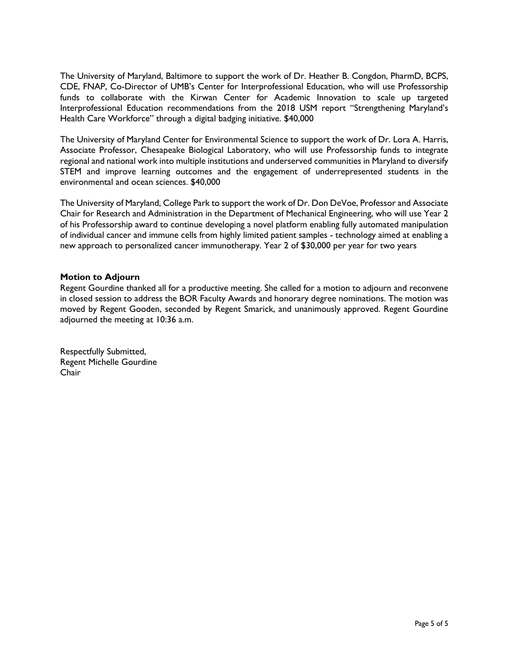The University of Maryland, Baltimore to support the work of Dr. Heather B. Congdon, PharmD, BCPS, CDE, FNAP, Co-Director of UMB's Center for Interprofessional Education, who will use Professorship funds to collaborate with the Kirwan Center for Academic Innovation to scale up targeted Interprofessional Education recommendations from the 2018 USM report "Strengthening Maryland's Health Care Workforce" through a digital badging initiative. \$40,000

The University of Maryland Center for Environmental Science to support the work of Dr. Lora A. Harris, Associate Professor, Chesapeake Biological Laboratory, who will use Professorship funds to integrate regional and national work into multiple institutions and underserved communities in Maryland to diversify STEM and improve learning outcomes and the engagement of underrepresented students in the environmental and ocean sciences. \$40,000

The University of Maryland, College Park to support the work of Dr. Don DeVoe, Professor and Associate Chair for Research and Administration in the Department of Mechanical Engineering, who will use Year 2 of his Professorship award to continue developing a novel platform enabling fully automated manipulation of individual cancer and immune cells from highly limited patient samples - technology aimed at enabling a new approach to personalized cancer immunotherapy. Year 2 of \$30,000 per year for two years

#### **Motion to Adjourn**

Regent Gourdine thanked all for a productive meeting. She called for a motion to adjourn and reconvene in closed session to address the BOR Faculty Awards and honorary degree nominations. The motion was moved by Regent Gooden, seconded by Regent Smarick, and unanimously approved. Regent Gourdine adjourned the meeting at 10:36 a.m.

Respectfully Submitted, Regent Michelle Gourdine Chair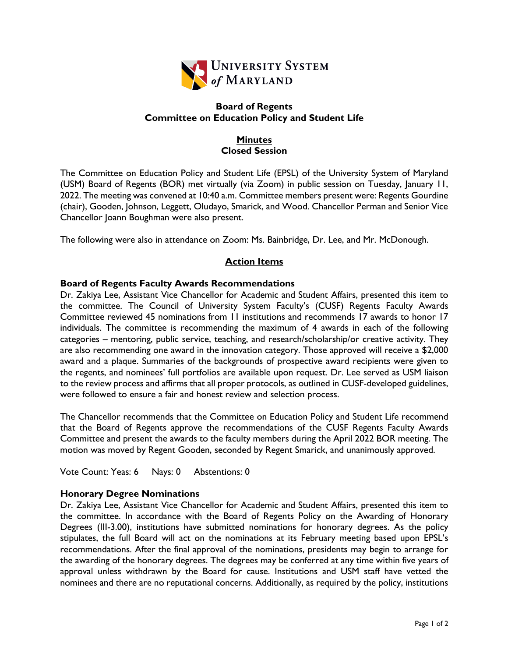

# **Board of Regents Committee on Education Policy and Student Life**

# **Minutes Closed Session**

The Committee on Education Policy and Student Life (EPSL) of the University System of Maryland (USM) Board of Regents (BOR) met virtually (via Zoom) in public session on Tuesday, January 11, 2022. The meeting was convened at 10:40 a.m. Committee members present were: Regents Gourdine (chair), Gooden, Johnson, Leggett, Oludayo, Smarick, and Wood. Chancellor Perman and Senior Vice Chancellor Joann Boughman were also present.

The following were also in attendance on Zoom: Ms. Bainbridge, Dr. Lee, and Mr. McDonough.

# **Action Items**

# **Board of Regents Faculty Awards Recommendations**

Dr. Zakiya Lee, Assistant Vice Chancellor for Academic and Student Affairs, presented this item to the committee. The Council of University System Faculty's (CUSF) Regents Faculty Awards Committee reviewed 45 nominations from 11 institutions and recommends 17 awards to honor 17 individuals. The committee is recommending the maximum of 4 awards in each of the following categories – mentoring, public service, teaching, and research/scholarship/or creative activity. They are also recommending one award in the innovation category. Those approved will receive a \$2,000 award and a plaque. Summaries of the backgrounds of prospective award recipients were given to the regents, and nominees' full portfolios are available upon request. Dr. Lee served as USM liaison to the review process and affirms that all proper protocols, as outlined in CUSF-developed guidelines, were followed to ensure a fair and honest review and selection process.

The Chancellor recommends that the Committee on Education Policy and Student Life recommend that the Board of Regents approve the recommendations of the CUSF Regents Faculty Awards Committee and present the awards to the faculty members during the April 2022 BOR meeting. The motion was moved by Regent Gooden, seconded by Regent Smarick, and unanimously approved.

Vote Count: Yeas: 6 Nays: 0 Abstentions: 0

# **Honorary Degree Nominations**

Dr. Zakiya Lee, Assistant Vice Chancellor for Academic and Student Affairs, presented this item to the committee. In accordance with the Board of Regents Policy on the Awarding of Honorary Degrees (III-3.00), institutions have submitted nominations for honorary degrees. As the policy stipulates, the full Board will act on the nominations at its February meeting based upon EPSL's recommendations. After the final approval of the nominations, presidents may begin to arrange for the awarding of the honorary degrees. The degrees may be conferred at any time within five years of approval unless withdrawn by the Board for cause. Institutions and USM staff have vetted the nominees and there are no reputational concerns. Additionally, as required by the policy, institutions